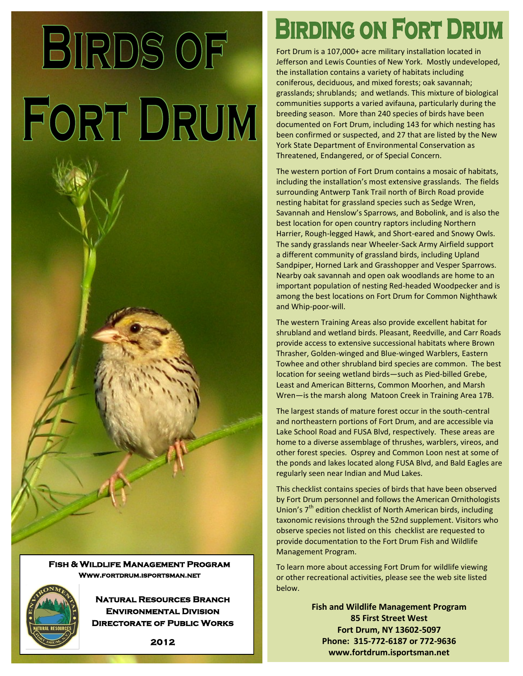## **BIRDS OF** FORT DRUM

**Fish & Wildlife Management Program Www.fortdrum.isportsman.net** 



**Natural Resources Branch Environmental Division Directorate of Public Works**  **BIRDING ON FORT DRUM** 

Fort Drum is a 107,000+ acre military installation located in Jefferson and Lewis Counties of New York. Mostly undeveloped, the installation contains a variety of habitats including coniferous, deciduous, and mixed forests; oak savannah; grasslands; shrublands; and wetlands. This mixture of biological communities supports a varied avifauna, particularly during the breeding season. More than 240 species of birds have been documented on Fort Drum, including 143 for which nesting has been confirmed or suspected, and 27 that are listed by the New York State Department of Environmental Conservation as Threatened, Endangered, or of Special Concern.

The western portion of Fort Drum contains a mosaic of habitats, including the installation's most extensive grasslands. The fields surrounding Antwerp Tank Trail north of Birch Road provide nesting habitat for grassland species such as Sedge Wren, Savannah and Henslow's Sparrows, and Bobolink, and is also the best location for open country raptors including Northern Harrier, Rough-legged Hawk, and Short-eared and Snowy Owls. The sandy grasslands near Wheeler-Sack Army Airfield support a different community of grassland birds, including Upland Sandpiper, Horned Lark and Grasshopper and Vesper Sparrows. Nearby oak savannah and open oak woodlands are home to an important population of nesting Red-headed Woodpecker and is among the best locations on Fort Drum for Common Nighthawk and Whip-poor-will.

The western Training Areas also provide excellent habitat for shrubland and wetland birds. Pleasant, Reedville, and Carr Roads provide access to extensive successional habitats where Brown Thrasher, Golden-winged and Blue-winged Warblers, Eastern Towhee and other shrubland bird species are common. The best location for seeing wetland birds—such as Pied-billed Grebe, Least and American Bitterns, Common Moorhen, and Marsh Wren—is the marsh along Matoon Creek in Training Area 17B.

The largest stands of mature forest occur in the south-central and northeastern portions of Fort Drum, and are accessible via Lake School Road and FUSA Blvd, respectively. These areas are home to a diverse assemblage of thrushes, warblers, vireos, and other forest species. Osprey and Common Loon nest at some of the ponds and lakes located along FUSA Blvd, and Bald Eagles are regularly seen near Indian and Mud Lakes.

This checklist contains species of birds that have been observed by Fort Drum personnel and follows the American Ornithologists Union's  $7<sup>th</sup>$  edition checklist of North American birds, including taxonomic revisions through the 52nd supplement. Visitors who observe species not listed on this checklist are requested to provide documentation to the Fort Drum Fish and Wildlife Management Program.

To learn more about accessing Fort Drum for wildlife viewing or other recreational activities, please see the web site listed below.

> **Fish and Wildlife Management Program 85 First Street West Fort Drum, NY 13602-5097 Phone: 315-772-6187 or 772-9636 www.fortdrum.isportsman.net**

**2012**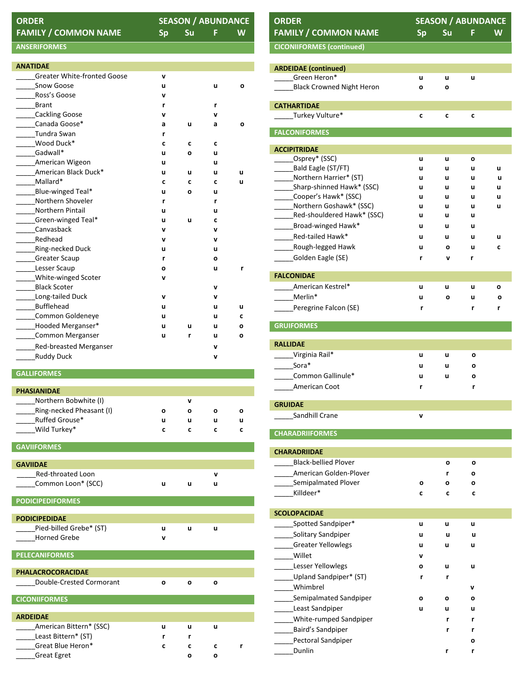| <b>ORDER</b>                |       | <b>SEASON / ABUNDANC</b> |   |  |
|-----------------------------|-------|--------------------------|---|--|
| <b>FAMILY / COMMON NAME</b> | Sp Su |                          | W |  |

## **SEASON / ABUNDANCE**<br>Sp Su F W

## **ANSERIFORMES**

| <b>ANATIDAE</b>                    |   |   |   |   |
|------------------------------------|---|---|---|---|
| <b>Greater White-fronted Goose</b> | v |   |   |   |
| Snow Goose                         | u |   | u | O |
| Ross's Goose                       | v |   |   |   |
| <b>Brant</b>                       | r |   | r |   |
| Cackling Goose                     | v |   | v |   |
| Canada Goose*                      | a | u | a | O |
| Tundra Swan                        | r |   |   |   |
| Wood Duck*                         | C | c | C |   |
| Gadwall*                           | u | O | u |   |
| American Wigeon                    | u |   | u |   |
| American Black Duck*               | u | u | u | u |
| Mallard*                           | C | c | C | u |
| Blue-winged Teal*                  | u | O | u |   |
| Northern Shoveler                  | r |   | r |   |
| <b>Northern Pintail</b>            | u |   | u |   |
| ____Green-winged Teal*             | u | u | C |   |
| Canvasback                         | v |   | v |   |
| Redhead                            | v |   | v |   |
| Ring-necked Duck                   | u |   | u |   |
| <b>Greater Scaup</b>               | r |   | O |   |
| Lesser Scaup                       | O |   | u | r |
| White-winged Scoter                | v |   |   |   |
| <b>Black Scoter</b>                |   |   | v |   |
| Long-tailed Duck                   | v |   | v |   |
| Bufflehead                         | u |   | u | u |
| Common Goldeneye                   | u |   | u | c |
| Hooded Merganser*                  | u | u | u | o |
| Common Merganser                   | u | r | u | о |
| Red-breasted Merganser             |   |   | v |   |
| <b>Ruddy Duck</b>                  |   |   | v |   |

## **GALLIFORMES**

| <b>PHASIANIDAE</b>       |          |          |   |   |
|--------------------------|----------|----------|---|---|
| Northern Bobwhite (I)    |          | v        |   |   |
| Ring-necked Pheasant (I) | o        | o        | O | o |
| Ruffed Grouse*           | u        | u        | u | u |
| Wild Turkey*             | c        | c        | c | c |
|                          |          |          |   |   |
| <b>GAVIIFORMES</b>       |          |          |   |   |
|                          |          |          |   |   |
| <b>GAVIIDAE</b>          |          |          |   |   |
| Red-throated Loon        |          |          | v |   |
| Common Loon* (SCC)       | u        | u        | u |   |
|                          |          |          |   |   |
| <b>PODICIPEDIFORMES</b>  |          |          |   |   |
| <b>PODICIPEDIDAE</b>     |          |          |   |   |
| Pied-billed Grebe* (ST)  | u        | u        | u |   |
| <b>Horned Grebe</b>      | v        |          |   |   |
|                          |          |          |   |   |
| <b>PELECANIFORMES</b>    |          |          |   |   |
|                          |          |          |   |   |
| <b>PHALACROCORACIDAE</b> |          |          |   |   |
| Double-Crested Cormorant | $\Omega$ | $\Omega$ | O |   |
|                          |          |          |   |   |
| <b>CICONIIFORMES</b>     |          |          |   |   |
|                          |          |          |   |   |
| <b>ARDEIDAE</b>          |          |          |   |   |
| American Bittern* (SSC)  | u        | u        | u |   |
| Least Bittern* (ST)      | r        | r        |   |   |
| Great Blue Heron*        | c        | c        | c | r |
| <b>Great Egret</b>       |          | O        | о |   |

| <b>FAMILY / COMMON NAME</b><br><b>CICONIIFORMES (continued)</b><br><b>ARDEIDAE</b> (continued)<br>Green Heron* | <b>Sp</b> | <b>Su</b> | F.     | W |
|----------------------------------------------------------------------------------------------------------------|-----------|-----------|--------|---|
|                                                                                                                |           |           |        |   |
|                                                                                                                |           |           |        |   |
|                                                                                                                |           |           |        |   |
|                                                                                                                | u         | u         | u      |   |
| <b>Black Crowned Night Heron</b>                                                                               | o         | o         |        |   |
| <b>CATHARTIDAE</b>                                                                                             |           |           |        |   |
| _____Turkey Vulture*                                                                                           | C         | C         | C      |   |
| <b>FALCONIFORMES</b>                                                                                           |           |           |        |   |
| <b>ACCIPITRIDAE</b>                                                                                            |           |           |        |   |
| ________Osprey* (SSC)                                                                                          | u         | u         | o      |   |
| _Bald Eagle (ST/FT)                                                                                            | u         | u         | u      | u |
| Northern Harrier* (ST)                                                                                         | u         | u         | u      | u |
| Sharp-shinned Hawk* (SSC)                                                                                      | u         | u         | u      | u |
| Cooper's Hawk* (SSC)                                                                                           | u         | u         | u      | u |
| Northern Goshawk* (SSC)                                                                                        | u         | u         | u      | u |
| Red-shouldered Hawk* (SSC)                                                                                     | u         | u         | u      |   |
| Broad-winged Hawk*                                                                                             | u         | u         | u      |   |
| Red-tailed Hawk*                                                                                               | u         | u         | u      | u |
| Rough-legged Hawk                                                                                              | u         | О         | u      | C |
| Golden Eagle (SE)                                                                                              | r         | v         | r      |   |
| <b>FALCONIDAE</b>                                                                                              |           |           |        |   |
| American Kestrel*                                                                                              | u         | u         | u      | О |
| Merlin*                                                                                                        | u         | О         | u      | o |
| Peregrine Falcon (SE)                                                                                          | r         |           | r      | r |
| <b>GRUIFORMES</b>                                                                                              |           |           |        |   |
| <b>RALLIDAE</b>                                                                                                |           |           |        |   |
| ______Virginia Rail*                                                                                           | u         | u         | О      |   |
| Sora*                                                                                                          | u         | u         | О      |   |
| Common Gallinule*                                                                                              | u         | u         | o      |   |
| American Coot                                                                                                  | r         |           | r      |   |
| <b>GRUIDAE</b>                                                                                                 |           |           |        |   |
| Sandhill Crane                                                                                                 | v         |           |        |   |
| <b>CHARADRIIFORMES</b>                                                                                         |           |           |        |   |
| <b>CHARADRIIDAE</b>                                                                                            |           |           |        |   |
| <b>Black-bellied Plover</b>                                                                                    |           | О         | О      |   |
| American Golden-Plover                                                                                         |           |           |        |   |
| Semipalmated Plover                                                                                            | О         | r<br>O    | O<br>O |   |
| Killdeer*                                                                                                      | C         | c         | c      |   |
|                                                                                                                |           |           |        |   |
| <b>SCOLOPACIDAE</b><br>Spotted Sandpiper*                                                                      |           |           |        |   |
|                                                                                                                | u         | u         | u      |   |
| Solitary Sandpiper                                                                                             | u         | u         | u      |   |
| Greater Yellowlegs                                                                                             | u         | u         | u      |   |
| Willet                                                                                                         | v         |           |        |   |
| Lesser Yellowlegs                                                                                              | о         | u         | u      |   |
| Upland Sandpiper* (ST)                                                                                         | r         | r         |        |   |
|                                                                                                                |           |           | v      |   |
| Whimbrel                                                                                                       |           |           | O      |   |
| Semipalmated Sandpiper                                                                                         | o         | o         |        |   |
|                                                                                                                | u         | u         | u      |   |
| Least Sandpiper                                                                                                |           | r         |        |   |
| White-rumped Sandpiper                                                                                         |           |           | r      |   |
| Baird's Sandpiper<br>Pectoral Sandpiper                                                                        |           | r         | r<br>о |   |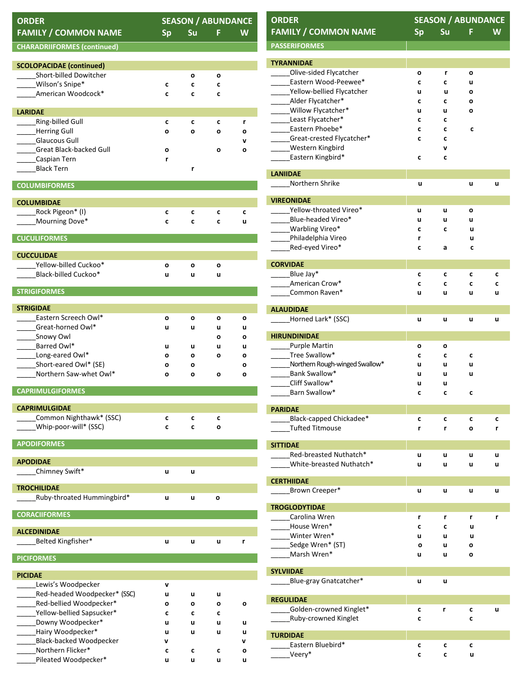| <b>ORDER</b>                                     |           |           |        | <b>SEASON / ABUNDANCE</b> |  |  |
|--------------------------------------------------|-----------|-----------|--------|---------------------------|--|--|
| <b>FAMILY / COMMON NAME</b>                      | <b>Sp</b> | <b>Su</b> | F      | W                         |  |  |
| <b>CHARADRIIFORMES (continued)</b>               |           |           |        |                           |  |  |
| <b>SCOLOPACIDAE</b> (continued)                  |           |           |        |                           |  |  |
| Short-billed Dowitcher                           |           | о         | о      |                           |  |  |
| Wilson's Snipe*                                  | c         | c         | C      |                           |  |  |
| American Woodcock*                               | c         | C         | C      |                           |  |  |
| <b>LARIDAE</b>                                   |           |           |        |                           |  |  |
| Ring-billed Gull                                 | C         | с         | c      | r                         |  |  |
| Herring Gull                                     | o         | О         | o      | ο                         |  |  |
| <b>Glaucous Gull</b><br>Great Black-backed Gull  |           |           |        | v                         |  |  |
| Caspian Tern                                     | o<br>r    |           | o      | о                         |  |  |
| <b>Black Tern</b>                                |           | r         |        |                           |  |  |
| <b>COLUMBIFORMES</b>                             |           |           |        |                           |  |  |
|                                                  |           |           |        |                           |  |  |
| <b>COLUMBIDAE</b><br>Rock Pigeon* (I)            | C         | c         | C      | C                         |  |  |
| Mourning Dove*                                   | c         | c         | C      | u                         |  |  |
|                                                  |           |           |        |                           |  |  |
| <b>CUCULIFORMES</b>                              |           |           |        |                           |  |  |
| <b>CUCCULIDAE</b>                                |           |           |        |                           |  |  |
| Yellow-billed Cuckoo*<br>Black-billed Cuckoo*    | о<br>u    | o<br>u    | о<br>u |                           |  |  |
|                                                  |           |           |        |                           |  |  |
| <b>STRIGIFORMES</b>                              |           |           |        |                           |  |  |
| <b>STRIGIDAE</b>                                 |           |           |        |                           |  |  |
| Eastern Screech Owl*                             | о         | о         | о      | о                         |  |  |
| Great-horned Owl*                                | u         | u         | u      | u                         |  |  |
| ______Snowy Owl<br>Barred Owl*                   |           |           | о      | O                         |  |  |
| Long-eared Owl*                                  | u<br>О    | u<br>о    | u<br>o | u<br>O                    |  |  |
| _Short-eared Owl* (SE)                           | O         | о         |        | O                         |  |  |
| Northern Saw-whet Owl*                           | O         | o         | О      | о                         |  |  |
| <b>CAPRIMULGIFORMES</b>                          |           |           |        |                           |  |  |
| <b>CAPRIMULGIDAE</b>                             |           |           |        |                           |  |  |
| Common Nighthawk* (SSC)                          | C         | C         | C      |                           |  |  |
| Whip-poor-will* (SSC)                            | C         | C         | о      |                           |  |  |
| <b>APODIFORMES</b>                               |           |           |        |                           |  |  |
|                                                  |           |           |        |                           |  |  |
| <b>APODIDAE</b><br>Chimney Swift*                | u         | u         |        |                           |  |  |
|                                                  |           |           |        |                           |  |  |
| <b>TROCHILIDAE</b><br>Ruby-throated Hummingbird* |           |           |        |                           |  |  |
|                                                  | u         | u         | o      |                           |  |  |
| <b>CORACIIFORMES</b>                             |           |           |        |                           |  |  |
| <b>ALCEDINIDAE</b>                               |           |           |        |                           |  |  |
| Belted Kingfisher*                               | u         | u         | u      | r                         |  |  |
| <b>PICIFORMES</b>                                |           |           |        |                           |  |  |
| <b>PICIDAE</b>                                   |           |           |        |                           |  |  |
| Lewis's Woodpecker                               | V         |           |        |                           |  |  |
| Red-headed Woodpecker* (SSC)                     | u         | u         | u      |                           |  |  |
| _Red-bellied Woodpecker*                         | О         | о         | o      | о                         |  |  |
| _Yellow-bellied Sapsucker*<br>_Downy Woodpecker* | C         | C         | C      |                           |  |  |
| Hairy Woodpecker*                                | u<br>u    | u<br>u    | u<br>u | u<br>u                    |  |  |
| <b>Black-backed Woodpecker</b>                   | v         |           |        | v                         |  |  |
| Northern Flicker*                                | C         | C         | C      | ο                         |  |  |
| Pileated Woodpecker*                             | u         | u         | u      | u                         |  |  |

| <b>ORDER</b>                                      | <b>SEASON / ABUNDANCE</b> |        |        |        |
|---------------------------------------------------|---------------------------|--------|--------|--------|
| <b>FAMILY / COMMON NAME</b>                       | <b>Sp</b>                 | Su     | F      | W      |
| <b>PASSERIFORMES</b>                              |                           |        |        |        |
| <b>TYRANNIDAE</b>                                 |                           |        |        |        |
| Olive-sided Flycatcher                            | o                         | r      | o      |        |
| Eastern Wood-Peewee*                              | C                         | C      | u      |        |
| Yellow-bellied Flycatcher                         | u                         | u      | O      |        |
| Alder Flycatcher*                                 | c                         | c      | о      |        |
| Willow Flycatcher*                                | u                         | u      | o      |        |
| _Least Flycatcher*                                | C                         | C      |        |        |
| Eastern Phoebe*<br>Great-crested Flycatcher*      | c<br>C                    | C<br>C | C      |        |
| <b>Western Kingbird</b>                           |                           | v      |        |        |
| Eastern Kingbird*                                 | C                         | C      |        |        |
|                                                   |                           |        |        |        |
| <b>LANIIDAE</b><br>Northern Shrike                | u                         |        | u      | u      |
| <b>VIREONIDAE</b>                                 |                           |        |        |        |
| Yellow-throated Vireo*                            | u                         | u      | о      |        |
| Blue-headed Vireo*                                | u                         | u      | u      |        |
| <b>Warbling Vireo*</b>                            | C                         | C      | u      |        |
| Philadelphia Vireo                                | r                         |        | u      |        |
| Red-eyed Vireo*                                   | C                         | а      | C      |        |
| <b>CORVIDAE</b>                                   |                           |        |        |        |
| Blue Jay*                                         | C                         | C      | C      | C      |
| American Crow*                                    | C                         | C      | C      | C      |
| Common Raven*                                     | u                         | u      | u      | u      |
| <b>ALAUDIDAE</b>                                  |                           |        |        |        |
| Horned Lark* (SSC)                                | u                         | u      | u      | u      |
| <b>HIRUNDINIDAE</b>                               |                           |        |        |        |
| Purple Martin                                     | o                         | о      |        |        |
| Tree Swallow*                                     | C                         | C      | C      |        |
| Northern Rough-winged Swallow*                    | u                         | u      | u      |        |
| Bank Swallow*                                     | u                         | u      | u      |        |
| Cliff Swallow*<br>_Barn Swallow*                  | u                         | u      |        |        |
|                                                   |                           |        |        |        |
| <b>PARIDAE</b>                                    |                           |        |        |        |
| Black-capped Chickadee*<br><b>Tufted Titmouse</b> | C<br>r                    | c<br>r | c<br>о | C<br>r |
|                                                   |                           |        |        |        |
| <b>SITTIDAE</b><br>Red-breasted Nuthatch*         |                           |        |        |        |
| White-breasted Nuthatch*                          | u<br>u                    | u<br>u | u<br>u | u<br>u |
|                                                   |                           |        |        |        |
| <b>CERTHIIDAE</b><br>Brown Creeper*               |                           |        | u      | u      |
|                                                   | u                         | u      |        |        |
| <b>TROGLODYTIDAE</b>                              |                           |        |        |        |
| Carolina Wren<br>House Wren*                      | r                         | r      | r      | r      |
| Winter Wren*                                      | C<br>u                    | c<br>u | u<br>u |        |
| Sedge Wren* (ST)                                  | о                         | u      | о      |        |
| Marsh Wren*                                       | u                         | u      | о      |        |
|                                                   |                           |        |        |        |
| <b>SYLVIIDAE</b><br>Blue-gray Gnatcatcher*        | u                         | u      |        |        |
|                                                   |                           |        |        |        |
| <b>REGULIDAE</b>                                  |                           |        |        |        |
| Golden-crowned Kinglet*<br>Ruby-crowned Kinglet   | c<br>C                    | r      | с<br>C | u      |
|                                                   |                           |        |        |        |
| <b>TURDIDAE</b>                                   |                           |        |        |        |
| Eastern Bluebird*<br>Veery*                       | c<br>C                    | c<br>C | C<br>u |        |
|                                                   |                           |        |        |        |